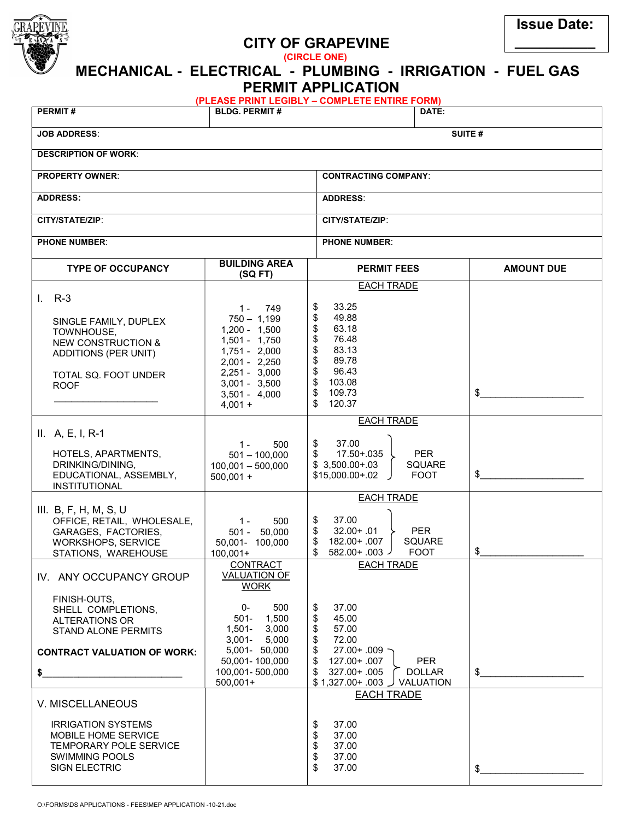

## CITY OF GRAPEVINE

(CIRCLE ONE)

 MECHANICAL - ELECTRICAL - PLUMBING - IRRIGATION - FUEL GAS PERMIT APPLICATION (PLEASE PRINT LEGIBLY – COMPLETE ENTIRE FORM) PERMIT # DATE: JOB ADDRESS: SUITE #

| <b>DESCRIPTION OF WORK:</b>                                                                                                                                |                                                                                                                                                                                           |                                                                                                                                                                                                             |                   |  |  |  |  |  |  |
|------------------------------------------------------------------------------------------------------------------------------------------------------------|-------------------------------------------------------------------------------------------------------------------------------------------------------------------------------------------|-------------------------------------------------------------------------------------------------------------------------------------------------------------------------------------------------------------|-------------------|--|--|--|--|--|--|
| <b>PROPERTY OWNER:</b>                                                                                                                                     |                                                                                                                                                                                           | <b>CONTRACTING COMPANY:</b>                                                                                                                                                                                 |                   |  |  |  |  |  |  |
| <b>ADDRESS:</b>                                                                                                                                            |                                                                                                                                                                                           | <b>ADDRESS:</b>                                                                                                                                                                                             |                   |  |  |  |  |  |  |
| CITY/STATE/ZIP:                                                                                                                                            |                                                                                                                                                                                           | CITY/STATE/ZIP:                                                                                                                                                                                             |                   |  |  |  |  |  |  |
| <b>PHONE NUMBER:</b>                                                                                                                                       |                                                                                                                                                                                           | <b>PHONE NUMBER:</b>                                                                                                                                                                                        |                   |  |  |  |  |  |  |
| <b>TYPE OF OCCUPANCY</b>                                                                                                                                   | <b>BUILDING AREA</b><br>(SQFT)                                                                                                                                                            | <b>PERMIT FEES</b>                                                                                                                                                                                          | <b>AMOUNT DUE</b> |  |  |  |  |  |  |
| $I. R-3$<br>SINGLE FAMILY, DUPLEX<br>TOWNHOUSE,<br><b>NEW CONSTRUCTION &amp;</b><br>ADDITIONS (PER UNIT)<br>TOTAL SQ. FOOT UNDER<br><b>ROOF</b>            | $1 -$<br>749<br>$750 - 1,199$<br>$1,200 - 1,500$<br>$1,501 - 1,750$<br>$1,751 - 2,000$<br>2,001 - 2,250<br>$2,251 - 3,000$<br>$3,001 - 3,500$<br>$3,501 - 4,000$<br>$4,001 +$             | <b>EACH TRADE</b><br>33.25<br>\$<br>\$<br>49.88<br>\$<br>63.18<br>\$<br>76.48<br>\$<br>83.13<br>\$<br>89.78<br>\$<br>96.43<br>\$<br>103.08<br>\$<br>109.73<br>\$<br>120.37                                  | \$                |  |  |  |  |  |  |
| $II. A, E, I, R-1$<br>HOTELS, APARTMENTS,<br>DRINKING/DINING,<br>EDUCATIONAL, ASSEMBLY,<br><b>INSTITUTIONAL</b>                                            | $1 -$<br>500<br>$501 - 100,000$<br>$100,001 - 500,000$<br>$500,001 +$                                                                                                                     | <b>EACH TRADE</b><br>37.00<br>\$<br>17.50+.035<br><b>PER</b><br>\$<br>$$3,500.00+.03$<br><b>SQUARE</b><br>$$15,000.00+.02$<br><b>FOOT</b>                                                                   | $\frac{1}{2}$     |  |  |  |  |  |  |
| III. $B, F, H, M, S, U$<br>OFFICE, RETAIL, WHOLESALE,<br>GARAGES, FACTORIES,<br>WORKSHOPS, SERVICE<br>STATIONS, WAREHOUSE                                  | 500<br>$1 -$<br>501 - 50,000<br>50,001- 100,000<br>$100,001+$                                                                                                                             | <b>EACH TRADE</b><br>37.00<br>\$<br>\$<br>$32.00 + .01$<br><b>PER</b><br>182.00+.007<br><b>SQUARE</b><br>\$<br>$582.00 + .003$<br><b>FOOT</b>                                                               | $\frac{1}{2}$     |  |  |  |  |  |  |
| IV. ANY OCCUPANCY GROUP<br>FINISH-OUTS,<br>SHELL COMPLETIONS,<br>ALTERATIONS OR<br><b>STAND ALONE PERMITS</b><br><b>CONTRACT VALUATION OF WORK:</b><br>\$_ | <b>CONTRACT</b><br><b>VALUATION OF</b><br><b>WORK</b><br>500<br>$0-$<br>501- 1,500<br>1,501- 3,000<br>$3,001 - 5,000$<br>5,001- 50,000<br>50,001-100,000<br>100,001-500,000<br>$500,001+$ | <b>EACH TRADE</b><br>$\frac{1}{2}$<br>37.00<br>\$<br>45.00<br>57.00<br>\$<br>72.00<br>\$<br>27.00+.009 -<br>127.00+.007<br><b>PER</b><br>327.00+.005<br><b>DOLLAR</b><br>\$<br>\$1,327.00+ .003 J VALUATION | $\frac{1}{2}$     |  |  |  |  |  |  |
| V. MISCELLANEOUS<br><b>IRRIGATION SYSTEMS</b><br>MOBILE HOME SERVICE<br><b>TEMPORARY POLE SERVICE</b><br><b>SWIMMING POOLS</b><br><b>SIGN ELECTRIC</b>     |                                                                                                                                                                                           | <b>EACH TRADE</b><br>37.00<br>\$<br>37.00<br>\$<br>\$<br>37.00<br>\$<br>37.00<br>37.00                                                                                                                      | \$                |  |  |  |  |  |  |